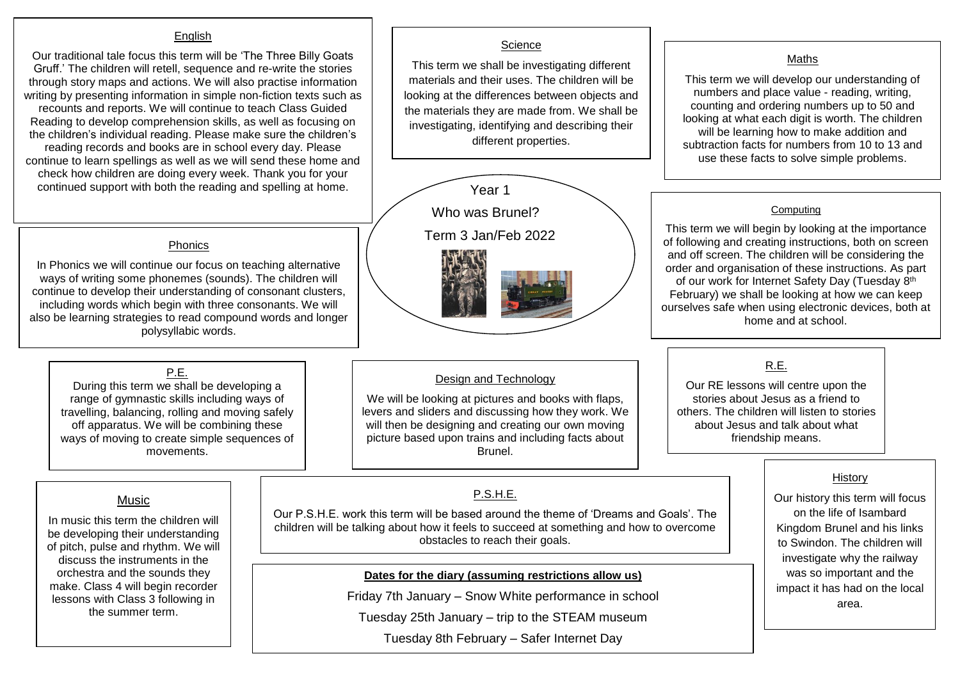#### **English**

Our traditional tale focus this term will be 'The Three Billy Goats Gruff.' The children will retell, sequence and re-write the stories through story maps and actions. We will also practise information writing by presenting information in simple non-fiction texts such as recounts and reports. We will continue to teach Class Guided Reading to develop comprehension skills, as well as focusing on the children's individual reading. Please make sure the children's reading records and books are in school every day. Please continue to learn spellings as well as we will send these home and check how children are doing every week. Thank you for your continued support with both the reading and spelling at home.

#### Phonics

In Phonics we will continue our focus on teaching alternative ways of writing some phonemes (sounds). The children will continue to develop their understanding of consonant clusters, including words which begin with three consonants. We will also be learning strategies to read compound words and longer polysyllabic words.

## P.E.

During this term we shall be developing a range of gymnastic skills including ways of travelling, balancing, rolling and moving safely off apparatus. We will be combining these ways of moving to create simple sequences of movements.

# **Science**

This term we shall be investigating different materials and their uses. The children will be looking at the differences between objects and the materials they are made from. We shall be investigating, identifying and describing their different properties.



#### Design and Technology

We will be looking at pictures and books with flaps, levers and sliders and discussing how they work. We will then be designing and creating our own moving picture based upon trains and including facts about Brunel.

# **P.S.H.F.**

Our P.S.H.E. work this term will be based around the theme of 'Dreams and Goals'. The children will be talking about how it feels to succeed at something and how to overcome obstacles to reach their goals.

**Dates for the diary (assuming restrictions allow us)**

Friday 7th January – Snow White performance in school

Tuesday 25th January – trip to the STEAM museum

Tuesday 8th February – Safer Internet Day

## Maths

This term we will develop our understanding of numbers and place value - reading, writing, counting and ordering numbers up to 50 and looking at what each digit is worth. The children will be learning how to make addition and subtraction facts for numbers from 10 to 13 and use these facts to solve simple problems.

#### **Computing**

This term we will begin by looking at the importance of following and creating instructions, both on screen and off screen. The children will be considering the order and organisation of these instructions. As part of our work for Internet Safety Day (Tuesday 8<sup>th</sup> February) we shall be looking at how we can keep ourselves safe when using electronic devices, both at home and at school.

# R.E.

Our RE lessons will centre upon the stories about Jesus as a friend to others. The children will listen to stories about Jesus and talk about what friendship means.

#### **History**

Our history this term will focus on the life of Isambard Kingdom Brunel and his links to Swindon. The children will investigate why the railway was so important and the impact it has had on the local area.

# Music

In music this term the children will be developing their understanding of pitch, pulse and rhythm. We will discuss the instruments in the orchestra and the sounds they make. Class 4 will begin recorder lessons with Class 3 following in the summer term.